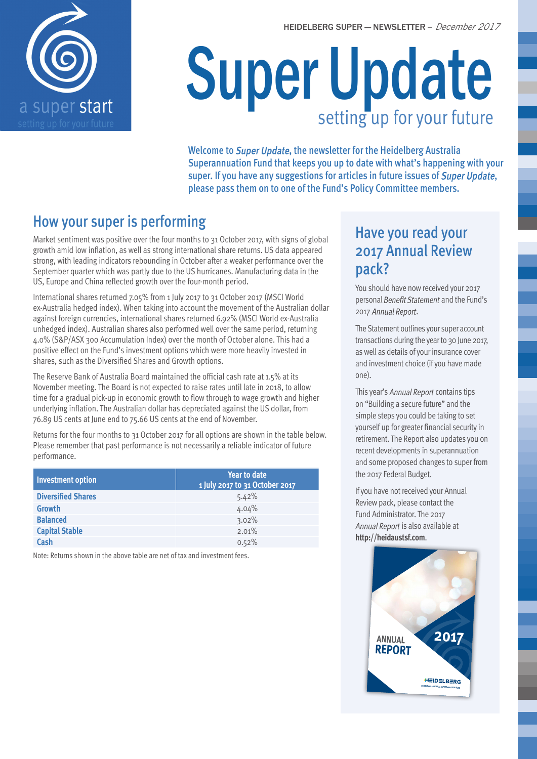

# Super Update setting up for your future

Welcome to Super Update, the newsletter for the Heidelberg Australia Superannuation Fund that keeps you up to date with what's happening with your super. If you have any suggestions for articles in future issues of Super Update, please pass them on to one of the Fund's Policy Committee members.

## How your super is performing

Market sentiment was positive over the four months to 31 October 2017, with signs of global growth amid low inflation, as well as strong international share returns. US data appeared strong, with leading indicators rebounding in October after a weaker performance over the September quarter which was partly due to the US hurricanes. Manufacturing data in the US, Europe and China reflected growth over the four-month period.

International shares returned 7.05% from 1 July 2017 to 31 October 2017 (MSCI World ex-Australia hedged index). When taking into account the movement of the Australian dollar against foreign currencies, international shares returned 6.92% (MSCI World ex-Australia unhedged index). Australian shares also performed well over the same period, returning 4.0% (S&P/ASX 300 Accumulation Index) over the month of October alone. This had a positive effect on the Fund's investment options which were more heavily invested in shares, such as the Diversified Shares and Growth options.

The Reserve Bank of Australia Board maintained the official cash rate at 1.5% at its November meeting. The Board is not expected to raise rates until late in 2018, to allow time for a gradual pick-up in economic growth to flow through to wage growth and higher underlying inflation. The Australian dollar has depreciated against the US dollar, from 76.89 US cents at June end to 75.66 US cents at the end of November.

Returns for the four months to 31 October 2017 for all options are shown in the table below. Please remember that past performance is not necessarily a reliable indicator of future performance.

| Investment option         | <b>Year to date</b><br>1 July 2017 to 31 October 2017 |
|---------------------------|-------------------------------------------------------|
| <b>Diversified Shares</b> | 5.42%                                                 |
| <b>Growth</b>             | 4.04%                                                 |
| <b>Balanced</b>           | 3.02%                                                 |
| <b>Capital Stable</b>     | 2.01%                                                 |
| Cash                      | 0.52%                                                 |

Note: Returns shown in the above table are net of tax and investment fees.

## Have you read your 2017 Annual Review pack?

You should have now received your 2017 personal Benefit Statement and the Fund's 2017 Annual Report.

The Statement outlines your super account transactions during the year to 30 June 2017, as well as details of your insurance cover and investment choice (if you have made one).

This year's Annual Report contains tips on "Building a secure future" and the simple steps you could be taking to set yourself up for greater financial security in retirement. The Report also updates you on recent developments in superannuation and some proposed changes to super from the 2017 Federal Budget.

If you have not received your Annual Review pack, please contact the Fund Administrator. The 2017 Annual Report is also available at **http://heidaustsf.com**.